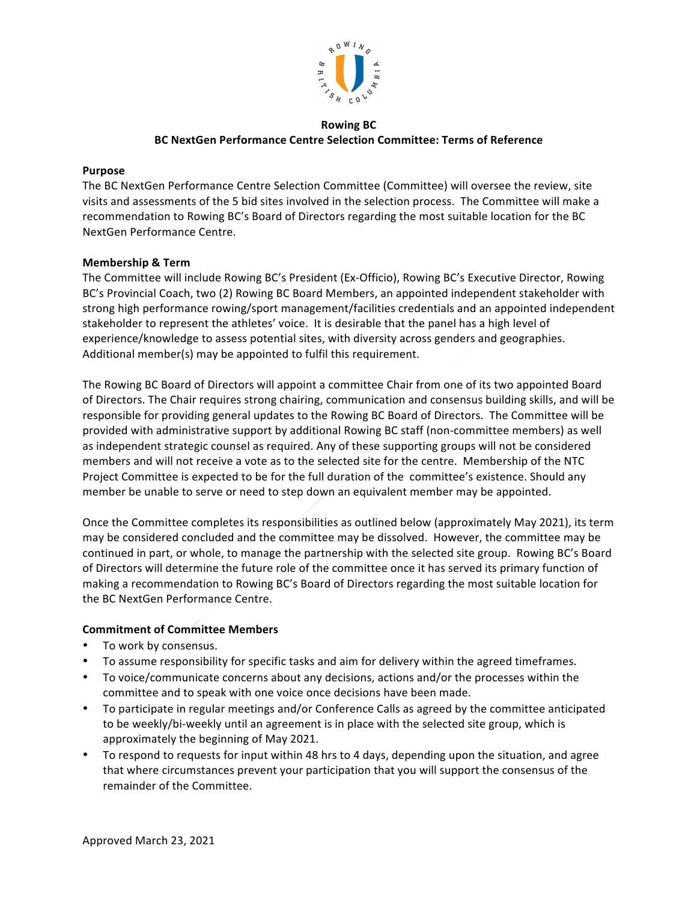

# **Rowing BC BC NextGen Performance Centre Selection Committee: Terms of Reference**

#### **Purpose**

The BC NextGen Performance Centre Selection Committee (Committee) will oversee the review, site visits and assessments of the 5 bid sites involved in the selection process. The Committee will make a recommendation to Rowing BC's Board of Directors regarding the most suitable location for the BC NextGen Performance Centre.

### **Membership & Term**

The Committee will include Rowing BC's President (Ex-Officio), Rowing BC's Executive Director, Rowing BC's Provincial Coach, two (2) Rowing BC Board Members, an appointed independent stakeholder with strong high performance rowing/sport management/facilities credentials and an appointed independent stakeholder to represent the athletes' voice. It is desirable that the panel has a high level of experience/knowledge to assess potential sites, with diversity across genders and geographies. Additional member(s) may be appointed to fulfil this requirement.

The Rowing BC Board of Directors will appoint a committee Chair from one of its two appointed Board of Directors. The Chair requires strong chairing, communication and consensus building skills, and will be responsible for providing general updates to the Rowing BC Board of Directors. The Committee will be provided with administrative support by additional Rowing BC staff (non-committee members) as well as independent strategic counsel as required. Any of these supporting groups will not be considered members and will not receive a vote as to the selected site for the centre. Membership of the NTC Project Committee is expected to be for the full duration of the committee's existence. Should any member be unable to serve or need to step down an equivalent member may be appointed.

Once the Committee completes its responsibilities as outlined below (approximately May 2021), its term may be considered concluded and the committee may be dissolved. However, the committee may be continued in part, or whole, to manage the partnership with the selected site group. Rowing BC's Board of Directors will determine the future role of the committee once it has served its primary function of making a recommendation to Rowing BC's Board of Directors regarding the most suitable location for the BC NextGen Performance Centre.

### **Commitment of Committee Members**

- To work by consensus.
- To assume responsibility for specific tasks and aim for delivery within the agreed timeframes.
- To voice/communicate concerns about any decisions, actions and/or the processes within the committee and to speak with one voice once decisions have been made.
- To participate in regular meetings and/or Conference Calls as agreed by the committee anticipated to be weekly/bi-weekly until an agreement is in place with the selected site group, which is approximately the beginning of May 2021.
- To respond to requests for input within 48 hrs to 4 days, depending upon the situation, and agree that where circumstances prevent your participation that you will support the consensus of the remainder of the Committee.